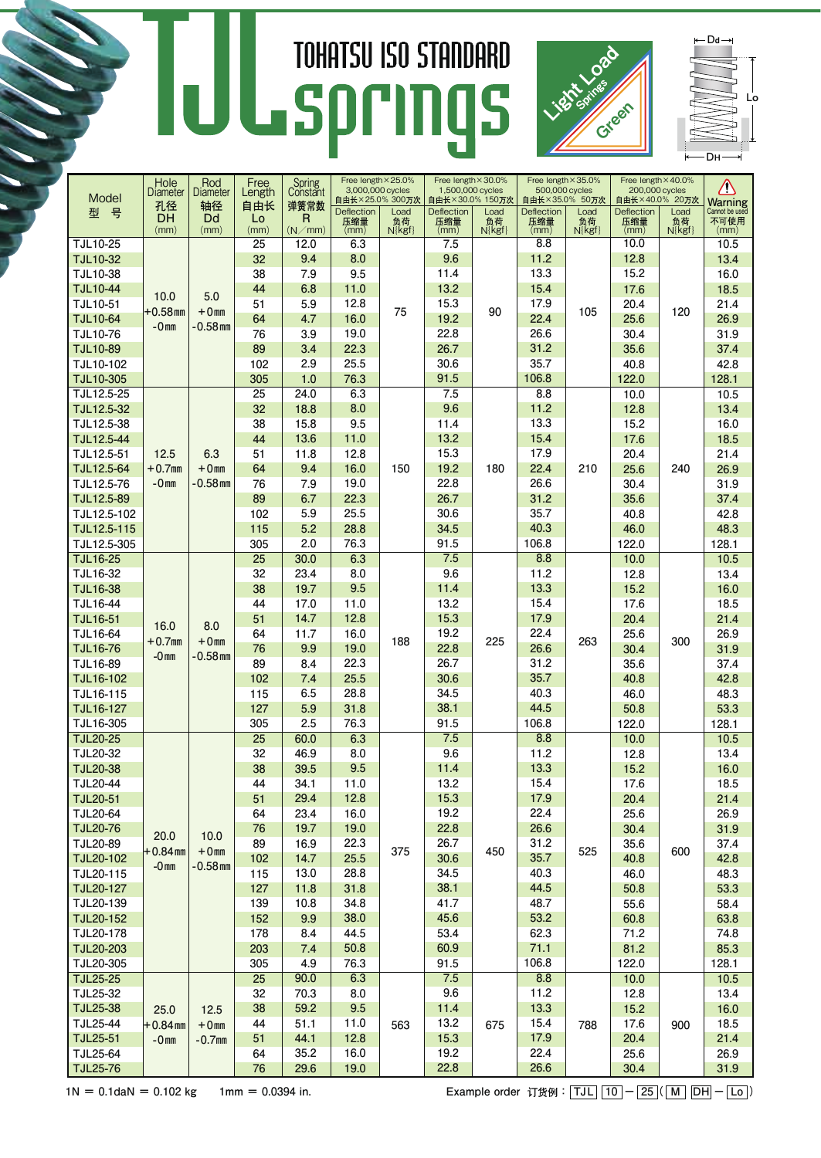## **TOHATSU ISO STANDARD** UL springs



 $-D$ d $\rightarrow$ **D**H **L**o

| <b>Diameter</b><br>Length<br>Constant<br>Diameter<br>Model<br>自由长×25.0% 300万次<br>自由长×30.0% 150万次<br>自由长×35.0% 50万次<br>自由长×40.0% 20万次<br><b>Warning</b><br>Cannot be used<br>孔径<br>轴径<br>弹簧常数<br>自由长<br>Deflection<br>Load<br>Deflection<br>Load<br>Deflection<br>Load<br>Deflection<br>Load<br>型<br>뮥<br>DH<br>Dd<br>R<br>Lo<br>不可使用<br>压缩量<br>压缩量<br>压缩量<br>压缩量<br>负荷<br>负荷<br>负荷<br>负荷<br>(mm)<br>(mm)<br>(mm)<br>(N/mm)<br>$N\$<br>$N$ { $kgf$ }<br>$N\{kgf\}$<br>$N\$<br>(mm)<br>(mm)<br>(mm)<br>(mm)<br>(mm)<br>12.0<br>7.5<br><b>TJL10-25</b><br>25<br>6.3<br>8.8<br>10.0<br>10.5<br>8.0<br>9.6<br>11.2<br>12.8<br><b>TJL10-32</b><br>32<br>9.4<br>13.4<br>13.3<br><b>TJL10-38</b><br>38<br>7.9<br>9.5<br>11.4<br>15.2<br>16.0<br>13.2<br>44<br>15.4<br>17.6<br><b>TJL10-44</b><br>6.8<br>11.0<br>18.5<br>5.0<br>10.0<br>17.9<br>TJL10-51<br>51<br>5.9<br>12.8<br>15.3<br>20.4<br>21.4<br>$+0mm$<br>75<br>90<br>$+0.58$ mm<br>105<br>120<br>22.4<br><b>TJL10-64</b><br>64<br>4.7<br>16.0<br>19.2<br>25.6<br>26.9<br>$-0mn$<br>-0.58 mm<br>19.0<br>22.8<br>26.6<br><b>TJL10-76</b><br>76<br>3.9<br>30.4<br>31.9<br>26.7<br>22.3<br>31.2<br><b>TJL10-89</b><br>89<br>35.6<br>37.4<br>3.4<br>25.5<br>30.6<br>35.7<br>102<br>40.8<br>42.8<br>TJL10-102<br>2.9<br>91.5<br>106.8<br>TJL10-305<br>305<br>76.3<br>122.0<br>128.1<br>1.0<br>7.5<br>8.8<br>TJL12.5-25<br>25<br>24.0<br>6.3<br>10.0<br>10.5<br>11.2<br>TJL12.5-32<br>32<br>18.8<br>8.0<br>9.6<br>12.8<br>13.4<br>9.5<br>TJL12.5-38<br>38<br>15.8<br>11.4<br>13.3<br>15.2<br>16.0<br>13.6<br>13.2<br>15.4<br>TJL12.5-44<br>44<br>11.0<br>17.6<br>18.5<br>12.5<br>6.3<br>12.8<br>15.3<br>17.9<br>TJL12.5-51<br>51<br>20.4<br>21.4<br>11.8<br>16.0<br>19.2<br>22.4<br>TJL12.5-64<br>$+0.7$ mm<br>$+0mm$<br>150<br>180<br>210<br>25.6<br>240<br>26.9<br>64<br>9.4<br>22.8<br>76<br>19.0<br>26.6<br>TJL12.5-76<br>$-0mn$<br>-0.58 mm<br>7.9<br>30.4<br>31.9<br>31.2<br>TJL12.5-89<br>89<br>6.7<br>22.3<br>26.7<br>35.6<br>37.4<br>35.7<br>TJL12.5-102<br>102<br>5.9<br>25.5<br>30.6<br>40.8<br>42.8<br>5.2<br>28.8<br>34.5<br>40.3<br>TJL12.5-115<br>115<br>46.0<br>48.3<br>2.0<br>76.3<br>91.5<br>106.8<br>128.1<br>TJL12.5-305<br>305<br>122.0<br>6.3<br>7.5<br>8.8<br><b>TJL16-25</b><br>25<br>10.0<br>10.5<br>30.0<br>9.6<br>11.2<br>TJL16-32<br>32<br>23.4<br>8.0<br>12.8<br>13.4<br><b>TJL16-38</b><br>38<br>19.7<br>9.5<br>11.4<br>13.3<br>15.2<br>16.0<br>TJL16-44<br>44<br>17.0<br>13.2<br>15.4<br>11.0<br>17.6<br>18.5<br>17.9<br><b>TJL16-51</b><br>51<br>14.7<br>12.8<br>15.3<br>20.4<br>21.4<br>16.0<br>8.0<br>16.0<br>19.2<br>22.4<br>11.7<br>25.6<br>26.9<br>TJL16-64<br>64<br>225<br>$+0.7$ mm<br>$+0mm$<br>188<br>263<br>300<br>9.9<br>19.0<br>22.8<br>26.6<br><b>TJL16-76</b><br>76<br>30.4<br>31.9<br>$-0mn$<br>-0.58 mm<br>22.3<br>26.7<br>31.2<br><b>TJL16-89</b><br>89<br>35.6<br>8.4<br>37.4<br>35.7<br>30.6<br>102<br>7.4<br>25.5<br><b>TJL16-102</b><br>40.8<br>42.8<br>34.5<br>40.3<br>28.8<br>48.3<br>TJL16-115<br>115<br>6.5<br>46.0<br>44.5<br>TJL16-127<br>127<br>5.9<br>38.1<br>31.8<br>53.3<br>50.8<br>106.8<br>TJL16-305<br>305<br>2.5<br>76.3<br>91.5<br>122.0<br>128.1<br>60.0<br>6.3<br>7.5<br>25<br>8.8<br>10.0<br><b>TJL20-25</b><br>10.5<br>9.6<br>11.2<br>TJL20-32<br>32<br>46.9<br>8.0<br>12.8<br>13.4<br>9.5<br>11.4<br>13.3<br><b>TJL20-38</b><br>38<br>39.5<br>15.2<br>16.0<br>13.2<br>15.4<br><b>TJL20-44</b><br>17.6<br>44<br>34.1<br>11.0<br>18.5<br>15.3<br>17.9<br><b>TJL20-51</b><br>51<br>29.4<br>12.8<br>20.4<br>21.4<br>22.4<br>23.4<br>19.2<br><b>TJL20-64</b><br>64<br>16.0<br>25.6<br>26.9<br>22.8<br>26.6<br><b>TJL20-76</b><br>76<br>19.7<br>19.0<br>30.4<br>31.9<br>10.0<br>20.0<br>22.3<br>26.7<br>TJL20-89<br>89<br>16.9<br>31.2<br>37.4<br>35.6<br>$+0.84$ mm<br>$+0mm$<br>375<br>450<br>525<br>600<br>25.5<br>30.6<br>35.7<br><b>TJL20-102</b><br>102<br>40.8<br>42.8<br>14.7<br>$-0.58$ mm<br>$-0mn$<br>28.8<br>TJL20-115<br>115<br>34.5<br>40.3<br>13.0<br>46.0<br>48.3<br>38.1<br>44.5<br>TJL20-127<br>127<br>31.8<br>53.3<br>11.8<br>50.8<br>48.7<br>TJL20-139<br>139<br>10.8<br>34.8<br>41.7<br>55.6<br>58.4<br>53.2<br>TJL20-152<br>152<br>9.9<br>38.0<br>45.6<br>60.8<br>63.8<br>178<br>8.4<br>44.5<br>53.4<br>62.3<br>TJL20-178<br>71.2<br>74.8<br>7.4<br>50.8<br>60.9<br>71.1<br>TJL20-203<br>203<br>81.2<br>85.3<br>91.5<br>TJL20-305<br>305<br>76.3<br>106.8<br>122.0<br>4.9<br>128.1<br>25<br>6.3<br>7.5<br>8.8<br><b>TJL25-25</b><br>90.0<br>10.0<br>10.5<br>9.6<br>TJL25-32<br>32<br>70.3<br>11.2<br>12.8<br>13.4<br>8.0<br>13.3<br><b>TJL25-38</b><br>38<br>59.2<br>9.5<br>11.4<br>15.2<br>16.0<br>25.0<br>12.5<br>TJL25-44<br>44<br>13.2<br>15.4<br>51.1<br>11.0<br>17.6<br>18.5<br>$+0.84$ mm<br>$+0mm$<br>563<br>675<br>788<br>900<br>44.1<br>12.8<br>15.3<br>21.4<br><b>TJL25-51</b><br>51<br>17.9<br>20.4<br>$-0mn$<br>$-0.7$ mm |          | Hole | Rod | Free | Spring | Free length × 25.0%<br>3,000,000 cycles |  | Free length × 30.0%<br>1,500,000 cycles |  | Free length × 35.0%<br>500,000 cycles |  | Free length × 40.0%<br>200,000 cycles |  | Δ    |
|---------------------------------------------------------------------------------------------------------------------------------------------------------------------------------------------------------------------------------------------------------------------------------------------------------------------------------------------------------------------------------------------------------------------------------------------------------------------------------------------------------------------------------------------------------------------------------------------------------------------------------------------------------------------------------------------------------------------------------------------------------------------------------------------------------------------------------------------------------------------------------------------------------------------------------------------------------------------------------------------------------------------------------------------------------------------------------------------------------------------------------------------------------------------------------------------------------------------------------------------------------------------------------------------------------------------------------------------------------------------------------------------------------------------------------------------------------------------------------------------------------------------------------------------------------------------------------------------------------------------------------------------------------------------------------------------------------------------------------------------------------------------------------------------------------------------------------------------------------------------------------------------------------------------------------------------------------------------------------------------------------------------------------------------------------------------------------------------------------------------------------------------------------------------------------------------------------------------------------------------------------------------------------------------------------------------------------------------------------------------------------------------------------------------------------------------------------------------------------------------------------------------------------------------------------------------------------------------------------------------------------------------------------------------------------------------------------------------------------------------------------------------------------------------------------------------------------------------------------------------------------------------------------------------------------------------------------------------------------------------------------------------------------------------------------------------------------------------------------------------------------------------------------------------------------------------------------------------------------------------------------------------------------------------------------------------------------------------------------------------------------------------------------------------------------------------------------------------------------------------------------------------------------------------------------------------------------------------------------------------------------------------------------------------------------------------------------------------------------------------------------------------------------------------------------------------------------------------------------------------------------------------------------------------------------------------------------------------------------------------------------------------------------------------------------------------------------------------------------------------------------------------------------------------------------------------------------------------------------------------------------------------------------------------------------------------------------------------------------------------------------------------------------------------------------------------------------------------------------------------------------------------------------------------------------------------------------------------------------------------------------------------------------------------------------------------------------------------------------------------------------------------------------------------------------------------------------------------------------------------------|----------|------|-----|------|--------|-----------------------------------------|--|-----------------------------------------|--|---------------------------------------|--|---------------------------------------|--|------|
|                                                                                                                                                                                                                                                                                                                                                                                                                                                                                                                                                                                                                                                                                                                                                                                                                                                                                                                                                                                                                                                                                                                                                                                                                                                                                                                                                                                                                                                                                                                                                                                                                                                                                                                                                                                                                                                                                                                                                                                                                                                                                                                                                                                                                                                                                                                                                                                                                                                                                                                                                                                                                                                                                                                                                                                                                                                                                                                                                                                                                                                                                                                                                                                                                                                                                                                                                                                                                                                                                                                                                                                                                                                                                                                                                                                                                                                                                                                                                                                                                                                                                                                                                                                                                                                                                                                                                                                                                                                                                                                                                                                                                                                                                                                                                                                                                                                                           |          |      |     |      |        |                                         |  |                                         |  |                                       |  |                                       |  |      |
|                                                                                                                                                                                                                                                                                                                                                                                                                                                                                                                                                                                                                                                                                                                                                                                                                                                                                                                                                                                                                                                                                                                                                                                                                                                                                                                                                                                                                                                                                                                                                                                                                                                                                                                                                                                                                                                                                                                                                                                                                                                                                                                                                                                                                                                                                                                                                                                                                                                                                                                                                                                                                                                                                                                                                                                                                                                                                                                                                                                                                                                                                                                                                                                                                                                                                                                                                                                                                                                                                                                                                                                                                                                                                                                                                                                                                                                                                                                                                                                                                                                                                                                                                                                                                                                                                                                                                                                                                                                                                                                                                                                                                                                                                                                                                                                                                                                                           |          |      |     |      |        |                                         |  |                                         |  |                                       |  |                                       |  |      |
|                                                                                                                                                                                                                                                                                                                                                                                                                                                                                                                                                                                                                                                                                                                                                                                                                                                                                                                                                                                                                                                                                                                                                                                                                                                                                                                                                                                                                                                                                                                                                                                                                                                                                                                                                                                                                                                                                                                                                                                                                                                                                                                                                                                                                                                                                                                                                                                                                                                                                                                                                                                                                                                                                                                                                                                                                                                                                                                                                                                                                                                                                                                                                                                                                                                                                                                                                                                                                                                                                                                                                                                                                                                                                                                                                                                                                                                                                                                                                                                                                                                                                                                                                                                                                                                                                                                                                                                                                                                                                                                                                                                                                                                                                                                                                                                                                                                                           |          |      |     |      |        |                                         |  |                                         |  |                                       |  |                                       |  |      |
|                                                                                                                                                                                                                                                                                                                                                                                                                                                                                                                                                                                                                                                                                                                                                                                                                                                                                                                                                                                                                                                                                                                                                                                                                                                                                                                                                                                                                                                                                                                                                                                                                                                                                                                                                                                                                                                                                                                                                                                                                                                                                                                                                                                                                                                                                                                                                                                                                                                                                                                                                                                                                                                                                                                                                                                                                                                                                                                                                                                                                                                                                                                                                                                                                                                                                                                                                                                                                                                                                                                                                                                                                                                                                                                                                                                                                                                                                                                                                                                                                                                                                                                                                                                                                                                                                                                                                                                                                                                                                                                                                                                                                                                                                                                                                                                                                                                                           |          |      |     |      |        |                                         |  |                                         |  |                                       |  |                                       |  |      |
|                                                                                                                                                                                                                                                                                                                                                                                                                                                                                                                                                                                                                                                                                                                                                                                                                                                                                                                                                                                                                                                                                                                                                                                                                                                                                                                                                                                                                                                                                                                                                                                                                                                                                                                                                                                                                                                                                                                                                                                                                                                                                                                                                                                                                                                                                                                                                                                                                                                                                                                                                                                                                                                                                                                                                                                                                                                                                                                                                                                                                                                                                                                                                                                                                                                                                                                                                                                                                                                                                                                                                                                                                                                                                                                                                                                                                                                                                                                                                                                                                                                                                                                                                                                                                                                                                                                                                                                                                                                                                                                                                                                                                                                                                                                                                                                                                                                                           |          |      |     |      |        |                                         |  |                                         |  |                                       |  |                                       |  |      |
|                                                                                                                                                                                                                                                                                                                                                                                                                                                                                                                                                                                                                                                                                                                                                                                                                                                                                                                                                                                                                                                                                                                                                                                                                                                                                                                                                                                                                                                                                                                                                                                                                                                                                                                                                                                                                                                                                                                                                                                                                                                                                                                                                                                                                                                                                                                                                                                                                                                                                                                                                                                                                                                                                                                                                                                                                                                                                                                                                                                                                                                                                                                                                                                                                                                                                                                                                                                                                                                                                                                                                                                                                                                                                                                                                                                                                                                                                                                                                                                                                                                                                                                                                                                                                                                                                                                                                                                                                                                                                                                                                                                                                                                                                                                                                                                                                                                                           |          |      |     |      |        |                                         |  |                                         |  |                                       |  |                                       |  |      |
|                                                                                                                                                                                                                                                                                                                                                                                                                                                                                                                                                                                                                                                                                                                                                                                                                                                                                                                                                                                                                                                                                                                                                                                                                                                                                                                                                                                                                                                                                                                                                                                                                                                                                                                                                                                                                                                                                                                                                                                                                                                                                                                                                                                                                                                                                                                                                                                                                                                                                                                                                                                                                                                                                                                                                                                                                                                                                                                                                                                                                                                                                                                                                                                                                                                                                                                                                                                                                                                                                                                                                                                                                                                                                                                                                                                                                                                                                                                                                                                                                                                                                                                                                                                                                                                                                                                                                                                                                                                                                                                                                                                                                                                                                                                                                                                                                                                                           |          |      |     |      |        |                                         |  |                                         |  |                                       |  |                                       |  |      |
|                                                                                                                                                                                                                                                                                                                                                                                                                                                                                                                                                                                                                                                                                                                                                                                                                                                                                                                                                                                                                                                                                                                                                                                                                                                                                                                                                                                                                                                                                                                                                                                                                                                                                                                                                                                                                                                                                                                                                                                                                                                                                                                                                                                                                                                                                                                                                                                                                                                                                                                                                                                                                                                                                                                                                                                                                                                                                                                                                                                                                                                                                                                                                                                                                                                                                                                                                                                                                                                                                                                                                                                                                                                                                                                                                                                                                                                                                                                                                                                                                                                                                                                                                                                                                                                                                                                                                                                                                                                                                                                                                                                                                                                                                                                                                                                                                                                                           |          |      |     |      |        |                                         |  |                                         |  |                                       |  |                                       |  |      |
|                                                                                                                                                                                                                                                                                                                                                                                                                                                                                                                                                                                                                                                                                                                                                                                                                                                                                                                                                                                                                                                                                                                                                                                                                                                                                                                                                                                                                                                                                                                                                                                                                                                                                                                                                                                                                                                                                                                                                                                                                                                                                                                                                                                                                                                                                                                                                                                                                                                                                                                                                                                                                                                                                                                                                                                                                                                                                                                                                                                                                                                                                                                                                                                                                                                                                                                                                                                                                                                                                                                                                                                                                                                                                                                                                                                                                                                                                                                                                                                                                                                                                                                                                                                                                                                                                                                                                                                                                                                                                                                                                                                                                                                                                                                                                                                                                                                                           |          |      |     |      |        |                                         |  |                                         |  |                                       |  |                                       |  |      |
|                                                                                                                                                                                                                                                                                                                                                                                                                                                                                                                                                                                                                                                                                                                                                                                                                                                                                                                                                                                                                                                                                                                                                                                                                                                                                                                                                                                                                                                                                                                                                                                                                                                                                                                                                                                                                                                                                                                                                                                                                                                                                                                                                                                                                                                                                                                                                                                                                                                                                                                                                                                                                                                                                                                                                                                                                                                                                                                                                                                                                                                                                                                                                                                                                                                                                                                                                                                                                                                                                                                                                                                                                                                                                                                                                                                                                                                                                                                                                                                                                                                                                                                                                                                                                                                                                                                                                                                                                                                                                                                                                                                                                                                                                                                                                                                                                                                                           |          |      |     |      |        |                                         |  |                                         |  |                                       |  |                                       |  |      |
|                                                                                                                                                                                                                                                                                                                                                                                                                                                                                                                                                                                                                                                                                                                                                                                                                                                                                                                                                                                                                                                                                                                                                                                                                                                                                                                                                                                                                                                                                                                                                                                                                                                                                                                                                                                                                                                                                                                                                                                                                                                                                                                                                                                                                                                                                                                                                                                                                                                                                                                                                                                                                                                                                                                                                                                                                                                                                                                                                                                                                                                                                                                                                                                                                                                                                                                                                                                                                                                                                                                                                                                                                                                                                                                                                                                                                                                                                                                                                                                                                                                                                                                                                                                                                                                                                                                                                                                                                                                                                                                                                                                                                                                                                                                                                                                                                                                                           |          |      |     |      |        |                                         |  |                                         |  |                                       |  |                                       |  |      |
|                                                                                                                                                                                                                                                                                                                                                                                                                                                                                                                                                                                                                                                                                                                                                                                                                                                                                                                                                                                                                                                                                                                                                                                                                                                                                                                                                                                                                                                                                                                                                                                                                                                                                                                                                                                                                                                                                                                                                                                                                                                                                                                                                                                                                                                                                                                                                                                                                                                                                                                                                                                                                                                                                                                                                                                                                                                                                                                                                                                                                                                                                                                                                                                                                                                                                                                                                                                                                                                                                                                                                                                                                                                                                                                                                                                                                                                                                                                                                                                                                                                                                                                                                                                                                                                                                                                                                                                                                                                                                                                                                                                                                                                                                                                                                                                                                                                                           |          |      |     |      |        |                                         |  |                                         |  |                                       |  |                                       |  |      |
|                                                                                                                                                                                                                                                                                                                                                                                                                                                                                                                                                                                                                                                                                                                                                                                                                                                                                                                                                                                                                                                                                                                                                                                                                                                                                                                                                                                                                                                                                                                                                                                                                                                                                                                                                                                                                                                                                                                                                                                                                                                                                                                                                                                                                                                                                                                                                                                                                                                                                                                                                                                                                                                                                                                                                                                                                                                                                                                                                                                                                                                                                                                                                                                                                                                                                                                                                                                                                                                                                                                                                                                                                                                                                                                                                                                                                                                                                                                                                                                                                                                                                                                                                                                                                                                                                                                                                                                                                                                                                                                                                                                                                                                                                                                                                                                                                                                                           |          |      |     |      |        |                                         |  |                                         |  |                                       |  |                                       |  |      |
|                                                                                                                                                                                                                                                                                                                                                                                                                                                                                                                                                                                                                                                                                                                                                                                                                                                                                                                                                                                                                                                                                                                                                                                                                                                                                                                                                                                                                                                                                                                                                                                                                                                                                                                                                                                                                                                                                                                                                                                                                                                                                                                                                                                                                                                                                                                                                                                                                                                                                                                                                                                                                                                                                                                                                                                                                                                                                                                                                                                                                                                                                                                                                                                                                                                                                                                                                                                                                                                                                                                                                                                                                                                                                                                                                                                                                                                                                                                                                                                                                                                                                                                                                                                                                                                                                                                                                                                                                                                                                                                                                                                                                                                                                                                                                                                                                                                                           |          |      |     |      |        |                                         |  |                                         |  |                                       |  |                                       |  |      |
|                                                                                                                                                                                                                                                                                                                                                                                                                                                                                                                                                                                                                                                                                                                                                                                                                                                                                                                                                                                                                                                                                                                                                                                                                                                                                                                                                                                                                                                                                                                                                                                                                                                                                                                                                                                                                                                                                                                                                                                                                                                                                                                                                                                                                                                                                                                                                                                                                                                                                                                                                                                                                                                                                                                                                                                                                                                                                                                                                                                                                                                                                                                                                                                                                                                                                                                                                                                                                                                                                                                                                                                                                                                                                                                                                                                                                                                                                                                                                                                                                                                                                                                                                                                                                                                                                                                                                                                                                                                                                                                                                                                                                                                                                                                                                                                                                                                                           |          |      |     |      |        |                                         |  |                                         |  |                                       |  |                                       |  |      |
|                                                                                                                                                                                                                                                                                                                                                                                                                                                                                                                                                                                                                                                                                                                                                                                                                                                                                                                                                                                                                                                                                                                                                                                                                                                                                                                                                                                                                                                                                                                                                                                                                                                                                                                                                                                                                                                                                                                                                                                                                                                                                                                                                                                                                                                                                                                                                                                                                                                                                                                                                                                                                                                                                                                                                                                                                                                                                                                                                                                                                                                                                                                                                                                                                                                                                                                                                                                                                                                                                                                                                                                                                                                                                                                                                                                                                                                                                                                                                                                                                                                                                                                                                                                                                                                                                                                                                                                                                                                                                                                                                                                                                                                                                                                                                                                                                                                                           |          |      |     |      |        |                                         |  |                                         |  |                                       |  |                                       |  |      |
|                                                                                                                                                                                                                                                                                                                                                                                                                                                                                                                                                                                                                                                                                                                                                                                                                                                                                                                                                                                                                                                                                                                                                                                                                                                                                                                                                                                                                                                                                                                                                                                                                                                                                                                                                                                                                                                                                                                                                                                                                                                                                                                                                                                                                                                                                                                                                                                                                                                                                                                                                                                                                                                                                                                                                                                                                                                                                                                                                                                                                                                                                                                                                                                                                                                                                                                                                                                                                                                                                                                                                                                                                                                                                                                                                                                                                                                                                                                                                                                                                                                                                                                                                                                                                                                                                                                                                                                                                                                                                                                                                                                                                                                                                                                                                                                                                                                                           |          |      |     |      |        |                                         |  |                                         |  |                                       |  |                                       |  |      |
|                                                                                                                                                                                                                                                                                                                                                                                                                                                                                                                                                                                                                                                                                                                                                                                                                                                                                                                                                                                                                                                                                                                                                                                                                                                                                                                                                                                                                                                                                                                                                                                                                                                                                                                                                                                                                                                                                                                                                                                                                                                                                                                                                                                                                                                                                                                                                                                                                                                                                                                                                                                                                                                                                                                                                                                                                                                                                                                                                                                                                                                                                                                                                                                                                                                                                                                                                                                                                                                                                                                                                                                                                                                                                                                                                                                                                                                                                                                                                                                                                                                                                                                                                                                                                                                                                                                                                                                                                                                                                                                                                                                                                                                                                                                                                                                                                                                                           |          |      |     |      |        |                                         |  |                                         |  |                                       |  |                                       |  |      |
|                                                                                                                                                                                                                                                                                                                                                                                                                                                                                                                                                                                                                                                                                                                                                                                                                                                                                                                                                                                                                                                                                                                                                                                                                                                                                                                                                                                                                                                                                                                                                                                                                                                                                                                                                                                                                                                                                                                                                                                                                                                                                                                                                                                                                                                                                                                                                                                                                                                                                                                                                                                                                                                                                                                                                                                                                                                                                                                                                                                                                                                                                                                                                                                                                                                                                                                                                                                                                                                                                                                                                                                                                                                                                                                                                                                                                                                                                                                                                                                                                                                                                                                                                                                                                                                                                                                                                                                                                                                                                                                                                                                                                                                                                                                                                                                                                                                                           |          |      |     |      |        |                                         |  |                                         |  |                                       |  |                                       |  |      |
|                                                                                                                                                                                                                                                                                                                                                                                                                                                                                                                                                                                                                                                                                                                                                                                                                                                                                                                                                                                                                                                                                                                                                                                                                                                                                                                                                                                                                                                                                                                                                                                                                                                                                                                                                                                                                                                                                                                                                                                                                                                                                                                                                                                                                                                                                                                                                                                                                                                                                                                                                                                                                                                                                                                                                                                                                                                                                                                                                                                                                                                                                                                                                                                                                                                                                                                                                                                                                                                                                                                                                                                                                                                                                                                                                                                                                                                                                                                                                                                                                                                                                                                                                                                                                                                                                                                                                                                                                                                                                                                                                                                                                                                                                                                                                                                                                                                                           |          |      |     |      |        |                                         |  |                                         |  |                                       |  |                                       |  |      |
|                                                                                                                                                                                                                                                                                                                                                                                                                                                                                                                                                                                                                                                                                                                                                                                                                                                                                                                                                                                                                                                                                                                                                                                                                                                                                                                                                                                                                                                                                                                                                                                                                                                                                                                                                                                                                                                                                                                                                                                                                                                                                                                                                                                                                                                                                                                                                                                                                                                                                                                                                                                                                                                                                                                                                                                                                                                                                                                                                                                                                                                                                                                                                                                                                                                                                                                                                                                                                                                                                                                                                                                                                                                                                                                                                                                                                                                                                                                                                                                                                                                                                                                                                                                                                                                                                                                                                                                                                                                                                                                                                                                                                                                                                                                                                                                                                                                                           |          |      |     |      |        |                                         |  |                                         |  |                                       |  |                                       |  |      |
|                                                                                                                                                                                                                                                                                                                                                                                                                                                                                                                                                                                                                                                                                                                                                                                                                                                                                                                                                                                                                                                                                                                                                                                                                                                                                                                                                                                                                                                                                                                                                                                                                                                                                                                                                                                                                                                                                                                                                                                                                                                                                                                                                                                                                                                                                                                                                                                                                                                                                                                                                                                                                                                                                                                                                                                                                                                                                                                                                                                                                                                                                                                                                                                                                                                                                                                                                                                                                                                                                                                                                                                                                                                                                                                                                                                                                                                                                                                                                                                                                                                                                                                                                                                                                                                                                                                                                                                                                                                                                                                                                                                                                                                                                                                                                                                                                                                                           |          |      |     |      |        |                                         |  |                                         |  |                                       |  |                                       |  |      |
|                                                                                                                                                                                                                                                                                                                                                                                                                                                                                                                                                                                                                                                                                                                                                                                                                                                                                                                                                                                                                                                                                                                                                                                                                                                                                                                                                                                                                                                                                                                                                                                                                                                                                                                                                                                                                                                                                                                                                                                                                                                                                                                                                                                                                                                                                                                                                                                                                                                                                                                                                                                                                                                                                                                                                                                                                                                                                                                                                                                                                                                                                                                                                                                                                                                                                                                                                                                                                                                                                                                                                                                                                                                                                                                                                                                                                                                                                                                                                                                                                                                                                                                                                                                                                                                                                                                                                                                                                                                                                                                                                                                                                                                                                                                                                                                                                                                                           |          |      |     |      |        |                                         |  |                                         |  |                                       |  |                                       |  |      |
|                                                                                                                                                                                                                                                                                                                                                                                                                                                                                                                                                                                                                                                                                                                                                                                                                                                                                                                                                                                                                                                                                                                                                                                                                                                                                                                                                                                                                                                                                                                                                                                                                                                                                                                                                                                                                                                                                                                                                                                                                                                                                                                                                                                                                                                                                                                                                                                                                                                                                                                                                                                                                                                                                                                                                                                                                                                                                                                                                                                                                                                                                                                                                                                                                                                                                                                                                                                                                                                                                                                                                                                                                                                                                                                                                                                                                                                                                                                                                                                                                                                                                                                                                                                                                                                                                                                                                                                                                                                                                                                                                                                                                                                                                                                                                                                                                                                                           |          |      |     |      |        |                                         |  |                                         |  |                                       |  |                                       |  |      |
|                                                                                                                                                                                                                                                                                                                                                                                                                                                                                                                                                                                                                                                                                                                                                                                                                                                                                                                                                                                                                                                                                                                                                                                                                                                                                                                                                                                                                                                                                                                                                                                                                                                                                                                                                                                                                                                                                                                                                                                                                                                                                                                                                                                                                                                                                                                                                                                                                                                                                                                                                                                                                                                                                                                                                                                                                                                                                                                                                                                                                                                                                                                                                                                                                                                                                                                                                                                                                                                                                                                                                                                                                                                                                                                                                                                                                                                                                                                                                                                                                                                                                                                                                                                                                                                                                                                                                                                                                                                                                                                                                                                                                                                                                                                                                                                                                                                                           |          |      |     |      |        |                                         |  |                                         |  |                                       |  |                                       |  |      |
|                                                                                                                                                                                                                                                                                                                                                                                                                                                                                                                                                                                                                                                                                                                                                                                                                                                                                                                                                                                                                                                                                                                                                                                                                                                                                                                                                                                                                                                                                                                                                                                                                                                                                                                                                                                                                                                                                                                                                                                                                                                                                                                                                                                                                                                                                                                                                                                                                                                                                                                                                                                                                                                                                                                                                                                                                                                                                                                                                                                                                                                                                                                                                                                                                                                                                                                                                                                                                                                                                                                                                                                                                                                                                                                                                                                                                                                                                                                                                                                                                                                                                                                                                                                                                                                                                                                                                                                                                                                                                                                                                                                                                                                                                                                                                                                                                                                                           |          |      |     |      |        |                                         |  |                                         |  |                                       |  |                                       |  |      |
|                                                                                                                                                                                                                                                                                                                                                                                                                                                                                                                                                                                                                                                                                                                                                                                                                                                                                                                                                                                                                                                                                                                                                                                                                                                                                                                                                                                                                                                                                                                                                                                                                                                                                                                                                                                                                                                                                                                                                                                                                                                                                                                                                                                                                                                                                                                                                                                                                                                                                                                                                                                                                                                                                                                                                                                                                                                                                                                                                                                                                                                                                                                                                                                                                                                                                                                                                                                                                                                                                                                                                                                                                                                                                                                                                                                                                                                                                                                                                                                                                                                                                                                                                                                                                                                                                                                                                                                                                                                                                                                                                                                                                                                                                                                                                                                                                                                                           |          |      |     |      |        |                                         |  |                                         |  |                                       |  |                                       |  |      |
|                                                                                                                                                                                                                                                                                                                                                                                                                                                                                                                                                                                                                                                                                                                                                                                                                                                                                                                                                                                                                                                                                                                                                                                                                                                                                                                                                                                                                                                                                                                                                                                                                                                                                                                                                                                                                                                                                                                                                                                                                                                                                                                                                                                                                                                                                                                                                                                                                                                                                                                                                                                                                                                                                                                                                                                                                                                                                                                                                                                                                                                                                                                                                                                                                                                                                                                                                                                                                                                                                                                                                                                                                                                                                                                                                                                                                                                                                                                                                                                                                                                                                                                                                                                                                                                                                                                                                                                                                                                                                                                                                                                                                                                                                                                                                                                                                                                                           |          |      |     |      |        |                                         |  |                                         |  |                                       |  |                                       |  |      |
|                                                                                                                                                                                                                                                                                                                                                                                                                                                                                                                                                                                                                                                                                                                                                                                                                                                                                                                                                                                                                                                                                                                                                                                                                                                                                                                                                                                                                                                                                                                                                                                                                                                                                                                                                                                                                                                                                                                                                                                                                                                                                                                                                                                                                                                                                                                                                                                                                                                                                                                                                                                                                                                                                                                                                                                                                                                                                                                                                                                                                                                                                                                                                                                                                                                                                                                                                                                                                                                                                                                                                                                                                                                                                                                                                                                                                                                                                                                                                                                                                                                                                                                                                                                                                                                                                                                                                                                                                                                                                                                                                                                                                                                                                                                                                                                                                                                                           |          |      |     |      |        |                                         |  |                                         |  |                                       |  |                                       |  |      |
|                                                                                                                                                                                                                                                                                                                                                                                                                                                                                                                                                                                                                                                                                                                                                                                                                                                                                                                                                                                                                                                                                                                                                                                                                                                                                                                                                                                                                                                                                                                                                                                                                                                                                                                                                                                                                                                                                                                                                                                                                                                                                                                                                                                                                                                                                                                                                                                                                                                                                                                                                                                                                                                                                                                                                                                                                                                                                                                                                                                                                                                                                                                                                                                                                                                                                                                                                                                                                                                                                                                                                                                                                                                                                                                                                                                                                                                                                                                                                                                                                                                                                                                                                                                                                                                                                                                                                                                                                                                                                                                                                                                                                                                                                                                                                                                                                                                                           |          |      |     |      |        |                                         |  |                                         |  |                                       |  |                                       |  |      |
|                                                                                                                                                                                                                                                                                                                                                                                                                                                                                                                                                                                                                                                                                                                                                                                                                                                                                                                                                                                                                                                                                                                                                                                                                                                                                                                                                                                                                                                                                                                                                                                                                                                                                                                                                                                                                                                                                                                                                                                                                                                                                                                                                                                                                                                                                                                                                                                                                                                                                                                                                                                                                                                                                                                                                                                                                                                                                                                                                                                                                                                                                                                                                                                                                                                                                                                                                                                                                                                                                                                                                                                                                                                                                                                                                                                                                                                                                                                                                                                                                                                                                                                                                                                                                                                                                                                                                                                                                                                                                                                                                                                                                                                                                                                                                                                                                                                                           |          |      |     |      |        |                                         |  |                                         |  |                                       |  |                                       |  |      |
|                                                                                                                                                                                                                                                                                                                                                                                                                                                                                                                                                                                                                                                                                                                                                                                                                                                                                                                                                                                                                                                                                                                                                                                                                                                                                                                                                                                                                                                                                                                                                                                                                                                                                                                                                                                                                                                                                                                                                                                                                                                                                                                                                                                                                                                                                                                                                                                                                                                                                                                                                                                                                                                                                                                                                                                                                                                                                                                                                                                                                                                                                                                                                                                                                                                                                                                                                                                                                                                                                                                                                                                                                                                                                                                                                                                                                                                                                                                                                                                                                                                                                                                                                                                                                                                                                                                                                                                                                                                                                                                                                                                                                                                                                                                                                                                                                                                                           |          |      |     |      |        |                                         |  |                                         |  |                                       |  |                                       |  |      |
|                                                                                                                                                                                                                                                                                                                                                                                                                                                                                                                                                                                                                                                                                                                                                                                                                                                                                                                                                                                                                                                                                                                                                                                                                                                                                                                                                                                                                                                                                                                                                                                                                                                                                                                                                                                                                                                                                                                                                                                                                                                                                                                                                                                                                                                                                                                                                                                                                                                                                                                                                                                                                                                                                                                                                                                                                                                                                                                                                                                                                                                                                                                                                                                                                                                                                                                                                                                                                                                                                                                                                                                                                                                                                                                                                                                                                                                                                                                                                                                                                                                                                                                                                                                                                                                                                                                                                                                                                                                                                                                                                                                                                                                                                                                                                                                                                                                                           |          |      |     |      |        |                                         |  |                                         |  |                                       |  |                                       |  |      |
|                                                                                                                                                                                                                                                                                                                                                                                                                                                                                                                                                                                                                                                                                                                                                                                                                                                                                                                                                                                                                                                                                                                                                                                                                                                                                                                                                                                                                                                                                                                                                                                                                                                                                                                                                                                                                                                                                                                                                                                                                                                                                                                                                                                                                                                                                                                                                                                                                                                                                                                                                                                                                                                                                                                                                                                                                                                                                                                                                                                                                                                                                                                                                                                                                                                                                                                                                                                                                                                                                                                                                                                                                                                                                                                                                                                                                                                                                                                                                                                                                                                                                                                                                                                                                                                                                                                                                                                                                                                                                                                                                                                                                                                                                                                                                                                                                                                                           |          |      |     |      |        |                                         |  |                                         |  |                                       |  |                                       |  |      |
|                                                                                                                                                                                                                                                                                                                                                                                                                                                                                                                                                                                                                                                                                                                                                                                                                                                                                                                                                                                                                                                                                                                                                                                                                                                                                                                                                                                                                                                                                                                                                                                                                                                                                                                                                                                                                                                                                                                                                                                                                                                                                                                                                                                                                                                                                                                                                                                                                                                                                                                                                                                                                                                                                                                                                                                                                                                                                                                                                                                                                                                                                                                                                                                                                                                                                                                                                                                                                                                                                                                                                                                                                                                                                                                                                                                                                                                                                                                                                                                                                                                                                                                                                                                                                                                                                                                                                                                                                                                                                                                                                                                                                                                                                                                                                                                                                                                                           |          |      |     |      |        |                                         |  |                                         |  |                                       |  |                                       |  |      |
|                                                                                                                                                                                                                                                                                                                                                                                                                                                                                                                                                                                                                                                                                                                                                                                                                                                                                                                                                                                                                                                                                                                                                                                                                                                                                                                                                                                                                                                                                                                                                                                                                                                                                                                                                                                                                                                                                                                                                                                                                                                                                                                                                                                                                                                                                                                                                                                                                                                                                                                                                                                                                                                                                                                                                                                                                                                                                                                                                                                                                                                                                                                                                                                                                                                                                                                                                                                                                                                                                                                                                                                                                                                                                                                                                                                                                                                                                                                                                                                                                                                                                                                                                                                                                                                                                                                                                                                                                                                                                                                                                                                                                                                                                                                                                                                                                                                                           |          |      |     |      |        |                                         |  |                                         |  |                                       |  |                                       |  |      |
|                                                                                                                                                                                                                                                                                                                                                                                                                                                                                                                                                                                                                                                                                                                                                                                                                                                                                                                                                                                                                                                                                                                                                                                                                                                                                                                                                                                                                                                                                                                                                                                                                                                                                                                                                                                                                                                                                                                                                                                                                                                                                                                                                                                                                                                                                                                                                                                                                                                                                                                                                                                                                                                                                                                                                                                                                                                                                                                                                                                                                                                                                                                                                                                                                                                                                                                                                                                                                                                                                                                                                                                                                                                                                                                                                                                                                                                                                                                                                                                                                                                                                                                                                                                                                                                                                                                                                                                                                                                                                                                                                                                                                                                                                                                                                                                                                                                                           |          |      |     |      |        |                                         |  |                                         |  |                                       |  |                                       |  |      |
|                                                                                                                                                                                                                                                                                                                                                                                                                                                                                                                                                                                                                                                                                                                                                                                                                                                                                                                                                                                                                                                                                                                                                                                                                                                                                                                                                                                                                                                                                                                                                                                                                                                                                                                                                                                                                                                                                                                                                                                                                                                                                                                                                                                                                                                                                                                                                                                                                                                                                                                                                                                                                                                                                                                                                                                                                                                                                                                                                                                                                                                                                                                                                                                                                                                                                                                                                                                                                                                                                                                                                                                                                                                                                                                                                                                                                                                                                                                                                                                                                                                                                                                                                                                                                                                                                                                                                                                                                                                                                                                                                                                                                                                                                                                                                                                                                                                                           |          |      |     |      |        |                                         |  |                                         |  |                                       |  |                                       |  |      |
|                                                                                                                                                                                                                                                                                                                                                                                                                                                                                                                                                                                                                                                                                                                                                                                                                                                                                                                                                                                                                                                                                                                                                                                                                                                                                                                                                                                                                                                                                                                                                                                                                                                                                                                                                                                                                                                                                                                                                                                                                                                                                                                                                                                                                                                                                                                                                                                                                                                                                                                                                                                                                                                                                                                                                                                                                                                                                                                                                                                                                                                                                                                                                                                                                                                                                                                                                                                                                                                                                                                                                                                                                                                                                                                                                                                                                                                                                                                                                                                                                                                                                                                                                                                                                                                                                                                                                                                                                                                                                                                                                                                                                                                                                                                                                                                                                                                                           |          |      |     |      |        |                                         |  |                                         |  |                                       |  |                                       |  |      |
|                                                                                                                                                                                                                                                                                                                                                                                                                                                                                                                                                                                                                                                                                                                                                                                                                                                                                                                                                                                                                                                                                                                                                                                                                                                                                                                                                                                                                                                                                                                                                                                                                                                                                                                                                                                                                                                                                                                                                                                                                                                                                                                                                                                                                                                                                                                                                                                                                                                                                                                                                                                                                                                                                                                                                                                                                                                                                                                                                                                                                                                                                                                                                                                                                                                                                                                                                                                                                                                                                                                                                                                                                                                                                                                                                                                                                                                                                                                                                                                                                                                                                                                                                                                                                                                                                                                                                                                                                                                                                                                                                                                                                                                                                                                                                                                                                                                                           |          |      |     |      |        |                                         |  |                                         |  |                                       |  |                                       |  |      |
|                                                                                                                                                                                                                                                                                                                                                                                                                                                                                                                                                                                                                                                                                                                                                                                                                                                                                                                                                                                                                                                                                                                                                                                                                                                                                                                                                                                                                                                                                                                                                                                                                                                                                                                                                                                                                                                                                                                                                                                                                                                                                                                                                                                                                                                                                                                                                                                                                                                                                                                                                                                                                                                                                                                                                                                                                                                                                                                                                                                                                                                                                                                                                                                                                                                                                                                                                                                                                                                                                                                                                                                                                                                                                                                                                                                                                                                                                                                                                                                                                                                                                                                                                                                                                                                                                                                                                                                                                                                                                                                                                                                                                                                                                                                                                                                                                                                                           |          |      |     |      |        |                                         |  |                                         |  |                                       |  |                                       |  |      |
|                                                                                                                                                                                                                                                                                                                                                                                                                                                                                                                                                                                                                                                                                                                                                                                                                                                                                                                                                                                                                                                                                                                                                                                                                                                                                                                                                                                                                                                                                                                                                                                                                                                                                                                                                                                                                                                                                                                                                                                                                                                                                                                                                                                                                                                                                                                                                                                                                                                                                                                                                                                                                                                                                                                                                                                                                                                                                                                                                                                                                                                                                                                                                                                                                                                                                                                                                                                                                                                                                                                                                                                                                                                                                                                                                                                                                                                                                                                                                                                                                                                                                                                                                                                                                                                                                                                                                                                                                                                                                                                                                                                                                                                                                                                                                                                                                                                                           |          |      |     |      |        |                                         |  |                                         |  |                                       |  |                                       |  |      |
|                                                                                                                                                                                                                                                                                                                                                                                                                                                                                                                                                                                                                                                                                                                                                                                                                                                                                                                                                                                                                                                                                                                                                                                                                                                                                                                                                                                                                                                                                                                                                                                                                                                                                                                                                                                                                                                                                                                                                                                                                                                                                                                                                                                                                                                                                                                                                                                                                                                                                                                                                                                                                                                                                                                                                                                                                                                                                                                                                                                                                                                                                                                                                                                                                                                                                                                                                                                                                                                                                                                                                                                                                                                                                                                                                                                                                                                                                                                                                                                                                                                                                                                                                                                                                                                                                                                                                                                                                                                                                                                                                                                                                                                                                                                                                                                                                                                                           |          |      |     |      |        |                                         |  |                                         |  |                                       |  |                                       |  |      |
|                                                                                                                                                                                                                                                                                                                                                                                                                                                                                                                                                                                                                                                                                                                                                                                                                                                                                                                                                                                                                                                                                                                                                                                                                                                                                                                                                                                                                                                                                                                                                                                                                                                                                                                                                                                                                                                                                                                                                                                                                                                                                                                                                                                                                                                                                                                                                                                                                                                                                                                                                                                                                                                                                                                                                                                                                                                                                                                                                                                                                                                                                                                                                                                                                                                                                                                                                                                                                                                                                                                                                                                                                                                                                                                                                                                                                                                                                                                                                                                                                                                                                                                                                                                                                                                                                                                                                                                                                                                                                                                                                                                                                                                                                                                                                                                                                                                                           |          |      |     |      |        |                                         |  |                                         |  |                                       |  |                                       |  |      |
|                                                                                                                                                                                                                                                                                                                                                                                                                                                                                                                                                                                                                                                                                                                                                                                                                                                                                                                                                                                                                                                                                                                                                                                                                                                                                                                                                                                                                                                                                                                                                                                                                                                                                                                                                                                                                                                                                                                                                                                                                                                                                                                                                                                                                                                                                                                                                                                                                                                                                                                                                                                                                                                                                                                                                                                                                                                                                                                                                                                                                                                                                                                                                                                                                                                                                                                                                                                                                                                                                                                                                                                                                                                                                                                                                                                                                                                                                                                                                                                                                                                                                                                                                                                                                                                                                                                                                                                                                                                                                                                                                                                                                                                                                                                                                                                                                                                                           |          |      |     |      |        |                                         |  |                                         |  |                                       |  |                                       |  |      |
|                                                                                                                                                                                                                                                                                                                                                                                                                                                                                                                                                                                                                                                                                                                                                                                                                                                                                                                                                                                                                                                                                                                                                                                                                                                                                                                                                                                                                                                                                                                                                                                                                                                                                                                                                                                                                                                                                                                                                                                                                                                                                                                                                                                                                                                                                                                                                                                                                                                                                                                                                                                                                                                                                                                                                                                                                                                                                                                                                                                                                                                                                                                                                                                                                                                                                                                                                                                                                                                                                                                                                                                                                                                                                                                                                                                                                                                                                                                                                                                                                                                                                                                                                                                                                                                                                                                                                                                                                                                                                                                                                                                                                                                                                                                                                                                                                                                                           |          |      |     |      |        |                                         |  |                                         |  |                                       |  |                                       |  |      |
|                                                                                                                                                                                                                                                                                                                                                                                                                                                                                                                                                                                                                                                                                                                                                                                                                                                                                                                                                                                                                                                                                                                                                                                                                                                                                                                                                                                                                                                                                                                                                                                                                                                                                                                                                                                                                                                                                                                                                                                                                                                                                                                                                                                                                                                                                                                                                                                                                                                                                                                                                                                                                                                                                                                                                                                                                                                                                                                                                                                                                                                                                                                                                                                                                                                                                                                                                                                                                                                                                                                                                                                                                                                                                                                                                                                                                                                                                                                                                                                                                                                                                                                                                                                                                                                                                                                                                                                                                                                                                                                                                                                                                                                                                                                                                                                                                                                                           |          |      |     |      |        |                                         |  |                                         |  |                                       |  |                                       |  |      |
|                                                                                                                                                                                                                                                                                                                                                                                                                                                                                                                                                                                                                                                                                                                                                                                                                                                                                                                                                                                                                                                                                                                                                                                                                                                                                                                                                                                                                                                                                                                                                                                                                                                                                                                                                                                                                                                                                                                                                                                                                                                                                                                                                                                                                                                                                                                                                                                                                                                                                                                                                                                                                                                                                                                                                                                                                                                                                                                                                                                                                                                                                                                                                                                                                                                                                                                                                                                                                                                                                                                                                                                                                                                                                                                                                                                                                                                                                                                                                                                                                                                                                                                                                                                                                                                                                                                                                                                                                                                                                                                                                                                                                                                                                                                                                                                                                                                                           |          |      |     |      |        |                                         |  |                                         |  |                                       |  |                                       |  |      |
|                                                                                                                                                                                                                                                                                                                                                                                                                                                                                                                                                                                                                                                                                                                                                                                                                                                                                                                                                                                                                                                                                                                                                                                                                                                                                                                                                                                                                                                                                                                                                                                                                                                                                                                                                                                                                                                                                                                                                                                                                                                                                                                                                                                                                                                                                                                                                                                                                                                                                                                                                                                                                                                                                                                                                                                                                                                                                                                                                                                                                                                                                                                                                                                                                                                                                                                                                                                                                                                                                                                                                                                                                                                                                                                                                                                                                                                                                                                                                                                                                                                                                                                                                                                                                                                                                                                                                                                                                                                                                                                                                                                                                                                                                                                                                                                                                                                                           |          |      |     |      |        |                                         |  |                                         |  |                                       |  |                                       |  |      |
|                                                                                                                                                                                                                                                                                                                                                                                                                                                                                                                                                                                                                                                                                                                                                                                                                                                                                                                                                                                                                                                                                                                                                                                                                                                                                                                                                                                                                                                                                                                                                                                                                                                                                                                                                                                                                                                                                                                                                                                                                                                                                                                                                                                                                                                                                                                                                                                                                                                                                                                                                                                                                                                                                                                                                                                                                                                                                                                                                                                                                                                                                                                                                                                                                                                                                                                                                                                                                                                                                                                                                                                                                                                                                                                                                                                                                                                                                                                                                                                                                                                                                                                                                                                                                                                                                                                                                                                                                                                                                                                                                                                                                                                                                                                                                                                                                                                                           |          |      |     |      |        |                                         |  |                                         |  |                                       |  |                                       |  |      |
|                                                                                                                                                                                                                                                                                                                                                                                                                                                                                                                                                                                                                                                                                                                                                                                                                                                                                                                                                                                                                                                                                                                                                                                                                                                                                                                                                                                                                                                                                                                                                                                                                                                                                                                                                                                                                                                                                                                                                                                                                                                                                                                                                                                                                                                                                                                                                                                                                                                                                                                                                                                                                                                                                                                                                                                                                                                                                                                                                                                                                                                                                                                                                                                                                                                                                                                                                                                                                                                                                                                                                                                                                                                                                                                                                                                                                                                                                                                                                                                                                                                                                                                                                                                                                                                                                                                                                                                                                                                                                                                                                                                                                                                                                                                                                                                                                                                                           |          |      |     |      |        |                                         |  |                                         |  |                                       |  |                                       |  |      |
|                                                                                                                                                                                                                                                                                                                                                                                                                                                                                                                                                                                                                                                                                                                                                                                                                                                                                                                                                                                                                                                                                                                                                                                                                                                                                                                                                                                                                                                                                                                                                                                                                                                                                                                                                                                                                                                                                                                                                                                                                                                                                                                                                                                                                                                                                                                                                                                                                                                                                                                                                                                                                                                                                                                                                                                                                                                                                                                                                                                                                                                                                                                                                                                                                                                                                                                                                                                                                                                                                                                                                                                                                                                                                                                                                                                                                                                                                                                                                                                                                                                                                                                                                                                                                                                                                                                                                                                                                                                                                                                                                                                                                                                                                                                                                                                                                                                                           |          |      |     |      |        |                                         |  |                                         |  |                                       |  |                                       |  |      |
|                                                                                                                                                                                                                                                                                                                                                                                                                                                                                                                                                                                                                                                                                                                                                                                                                                                                                                                                                                                                                                                                                                                                                                                                                                                                                                                                                                                                                                                                                                                                                                                                                                                                                                                                                                                                                                                                                                                                                                                                                                                                                                                                                                                                                                                                                                                                                                                                                                                                                                                                                                                                                                                                                                                                                                                                                                                                                                                                                                                                                                                                                                                                                                                                                                                                                                                                                                                                                                                                                                                                                                                                                                                                                                                                                                                                                                                                                                                                                                                                                                                                                                                                                                                                                                                                                                                                                                                                                                                                                                                                                                                                                                                                                                                                                                                                                                                                           |          |      |     |      |        |                                         |  |                                         |  |                                       |  |                                       |  |      |
|                                                                                                                                                                                                                                                                                                                                                                                                                                                                                                                                                                                                                                                                                                                                                                                                                                                                                                                                                                                                                                                                                                                                                                                                                                                                                                                                                                                                                                                                                                                                                                                                                                                                                                                                                                                                                                                                                                                                                                                                                                                                                                                                                                                                                                                                                                                                                                                                                                                                                                                                                                                                                                                                                                                                                                                                                                                                                                                                                                                                                                                                                                                                                                                                                                                                                                                                                                                                                                                                                                                                                                                                                                                                                                                                                                                                                                                                                                                                                                                                                                                                                                                                                                                                                                                                                                                                                                                                                                                                                                                                                                                                                                                                                                                                                                                                                                                                           |          |      |     |      |        |                                         |  |                                         |  |                                       |  |                                       |  |      |
|                                                                                                                                                                                                                                                                                                                                                                                                                                                                                                                                                                                                                                                                                                                                                                                                                                                                                                                                                                                                                                                                                                                                                                                                                                                                                                                                                                                                                                                                                                                                                                                                                                                                                                                                                                                                                                                                                                                                                                                                                                                                                                                                                                                                                                                                                                                                                                                                                                                                                                                                                                                                                                                                                                                                                                                                                                                                                                                                                                                                                                                                                                                                                                                                                                                                                                                                                                                                                                                                                                                                                                                                                                                                                                                                                                                                                                                                                                                                                                                                                                                                                                                                                                                                                                                                                                                                                                                                                                                                                                                                                                                                                                                                                                                                                                                                                                                                           |          |      |     |      |        |                                         |  |                                         |  |                                       |  |                                       |  |      |
|                                                                                                                                                                                                                                                                                                                                                                                                                                                                                                                                                                                                                                                                                                                                                                                                                                                                                                                                                                                                                                                                                                                                                                                                                                                                                                                                                                                                                                                                                                                                                                                                                                                                                                                                                                                                                                                                                                                                                                                                                                                                                                                                                                                                                                                                                                                                                                                                                                                                                                                                                                                                                                                                                                                                                                                                                                                                                                                                                                                                                                                                                                                                                                                                                                                                                                                                                                                                                                                                                                                                                                                                                                                                                                                                                                                                                                                                                                                                                                                                                                                                                                                                                                                                                                                                                                                                                                                                                                                                                                                                                                                                                                                                                                                                                                                                                                                                           |          |      |     |      |        |                                         |  |                                         |  |                                       |  |                                       |  |      |
|                                                                                                                                                                                                                                                                                                                                                                                                                                                                                                                                                                                                                                                                                                                                                                                                                                                                                                                                                                                                                                                                                                                                                                                                                                                                                                                                                                                                                                                                                                                                                                                                                                                                                                                                                                                                                                                                                                                                                                                                                                                                                                                                                                                                                                                                                                                                                                                                                                                                                                                                                                                                                                                                                                                                                                                                                                                                                                                                                                                                                                                                                                                                                                                                                                                                                                                                                                                                                                                                                                                                                                                                                                                                                                                                                                                                                                                                                                                                                                                                                                                                                                                                                                                                                                                                                                                                                                                                                                                                                                                                                                                                                                                                                                                                                                                                                                                                           | TJL25-64 |      |     | 64   | 35.2   | 16.0                                    |  | 19.2                                    |  | 22.4                                  |  | 25.6                                  |  | 26.9 |
| TJL25-76<br>19.0<br>22.8<br>26.6<br>76<br>29.6<br>30.4<br>31.9                                                                                                                                                                                                                                                                                                                                                                                                                                                                                                                                                                                                                                                                                                                                                                                                                                                                                                                                                                                                                                                                                                                                                                                                                                                                                                                                                                                                                                                                                                                                                                                                                                                                                                                                                                                                                                                                                                                                                                                                                                                                                                                                                                                                                                                                                                                                                                                                                                                                                                                                                                                                                                                                                                                                                                                                                                                                                                                                                                                                                                                                                                                                                                                                                                                                                                                                                                                                                                                                                                                                                                                                                                                                                                                                                                                                                                                                                                                                                                                                                                                                                                                                                                                                                                                                                                                                                                                                                                                                                                                                                                                                                                                                                                                                                                                                            |          |      |     |      |        |                                         |  |                                         |  |                                       |  |                                       |  |      |

1N = 0.1daN = 0.102 kg 1mm = 0.0394 in. <br> **Example order 订货例:** TJL 10 - 25 ( $\boxed{M}$  DH - Lo )